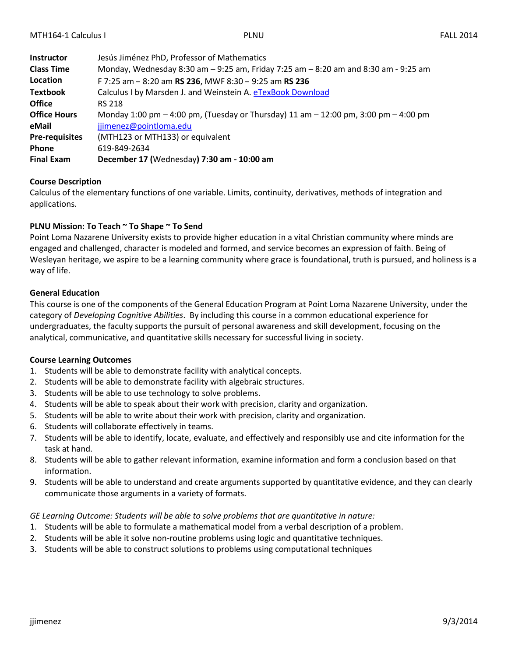| <b>Instructor</b>     | Jesús Jiménez PhD, Professor of Mathematics                                         |
|-----------------------|-------------------------------------------------------------------------------------|
| <b>Class Time</b>     | Monday, Wednesday 8:30 am - 9:25 am, Friday 7:25 am - 8:20 am and 8:30 am - 9:25 am |
| Location              | F 7:25 am - 8:20 am RS 236, MWF 8:30 - 9:25 am RS 236                               |
| <b>Textbook</b>       | Calculus I by Marsden J. and Weinstein A. eTexBook Download                         |
| <b>Office</b>         | <b>RS 218</b>                                                                       |
| <b>Office Hours</b>   | Monday 1:00 pm – 4:00 pm, (Tuesday or Thursday) 11 am – 12:00 pm, 3:00 pm – 4:00 pm |
| eMail                 | jjimenez@pointloma.edu                                                              |
| <b>Pre-requisites</b> | (MTH123 or MTH133) or equivalent                                                    |
| <b>Phone</b>          | 619-849-2634                                                                        |
| <b>Final Exam</b>     | December 17 (Wednesday) 7:30 am - 10:00 am                                          |

#### **Course Description**

Calculus of the elementary functions of one variable. Limits, continuity, derivatives, methods of integration and applications.

### **PLNU Mission: To Teach ~ To Shape ~ To Send**

Point Loma Nazarene University exists to provide higher education in a vital Christian community where minds are engaged and challenged, character is modeled and formed, and service becomes an expression of faith. Being of Wesleyan heritage, we aspire to be a learning community where grace is foundational, truth is pursued, and holiness is a way of life.

### **General Education**

This course is one of the components of the General Education Program at Point Loma Nazarene University, under the category of *Developing Cognitive Abilities*. By including this course in a common educational experience for undergraduates, the faculty supports the pursuit of personal awareness and skill development, focusing on the analytical, communicative, and quantitative skills necessary for successful living in society.

#### **Course Learning Outcomes**

- 1. Students will be able to demonstrate facility with analytical concepts.
- 2. Students will be able to demonstrate facility with algebraic structures.
- 3. Students will be able to use technology to solve problems.
- 4. Students will be able to speak about their work with precision, clarity and organization.
- 5. Students will be able to write about their work with precision, clarity and organization.
- 6. Students will collaborate effectively in teams.
- 7. Students will be able to identify, locate, evaluate, and effectively and responsibly use and cite information for the task at hand.
- 8. Students will be able to gather relevant information, examine information and form a conclusion based on that information.
- 9. Students will be able to understand and create arguments supported by quantitative evidence, and they can clearly communicate those arguments in a variety of formats.

#### *GE Learning Outcome: Students will be able to solve problems that are quantitative in nature:*

- 1. Students will be able to formulate a mathematical model from a verbal description of a problem.
- 2. Students will be able it solve non-routine problems using logic and quantitative techniques.
- 3. Students will be able to construct solutions to problems using computational techniques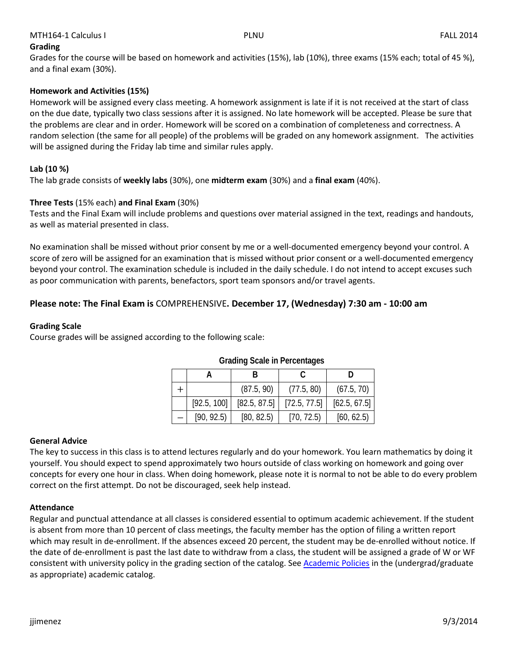# **Grading**

Grades for the course will be based on homework and activities (15%), lab (10%), three exams (15% each; total of 45 %), and a final exam (30%).

# **Homework and Activities (15%)**

Homework will be assigned every class meeting. A homework assignment is late if it is not received at the start of class on the due date, typically two class sessions after it is assigned. No late homework will be accepted. Please be sure that the problems are clear and in order. Homework will be scored on a combination of completeness and correctness. A random selection (the same for all people) of the problems will be graded on any homework assignment. The activities will be assigned during the Friday lab time and similar rules apply.

# **Lab (10 %)**

The lab grade consists of **weekly labs** (30%), one **midterm exam** (30%) and a **final exam** (40%).

# **Three Tests** (15% each) **and Final Exam** (30%)

Tests and the Final Exam will include problems and questions over material assigned in the text, readings and handouts, as well as material presented in class.

No examination shall be missed without prior consent by me or a well-documented emergency beyond your control. A score of zero will be assigned for an examination that is missed without prior consent or a well-documented emergency beyond your control. The examination schedule is included in the daily schedule. I do not intend to accept excuses such as poor communication with parents, benefactors, sport team sponsors and/or travel agents.

# **Please note: The Final Exam is** COMPREHENSIVE**. December 17, (Wednesday) 7:30 am - 10:00 am**

# **Grading Scale**

Course grades will be assigned according to the following scale:

|             | (87.5, 90)   | (77.5, 80)   | (67.5, 70)   |
|-------------|--------------|--------------|--------------|
| [92.5, 100] | [82.5, 87.5] | [72.5, 77.5] | [62.5, 67.5] |
| [90, 92.5]  | [80, 82.5]   | [70, 72.5]   | [60, 62.5]   |

#### **Grading Scale in Percentages**

#### **General Advice**

The key to success in this class is to attend lectures regularly and do your homework. You learn mathematics by doing it yourself. You should expect to spend approximately two hours outside of class working on homework and going over concepts for every one hour in class. When doing homework, please note it is normal to not be able to do every problem correct on the first attempt. Do not be discouraged, seek help instead.

#### **Attendance**

Regular and punctual attendance at all classes is considered essential to optimum academic achievement. If the student is absent from more than 10 percent of class meetings, the faculty member has the option of filing a written report which may result in de-enrollment. If the absences exceed 20 percent, the student may be de-enrolled without notice. If the date of de-enrollment is past the last date to withdraw from a class, the student will be assigned a grade of W or WF consistent with university policy in the grading section of the catalog. See [Academic Policies](http://www.pointloma.edu/experience/academics/catalogs/undergraduate-catalog/point-loma-education/academic-policies) in the (undergrad/graduate as appropriate) academic catalog.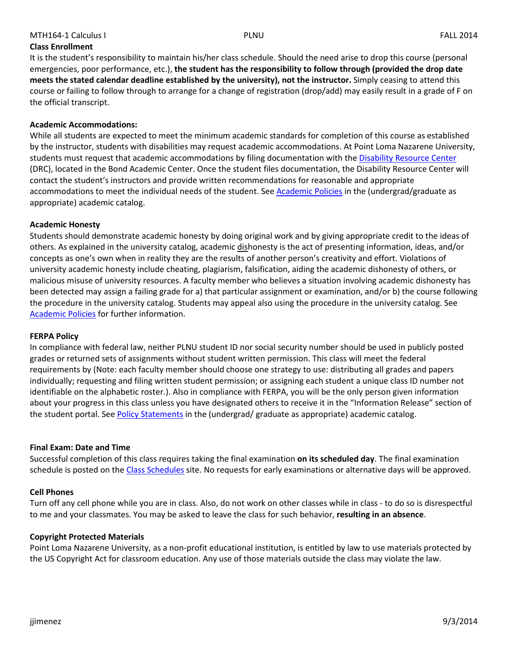# **Class Enrollment**

It is the student's responsibility to maintain his/her class schedule. Should the need arise to drop this course (personal emergencies, poor performance, etc.), **the student has the responsibility to follow through (provided the drop date meets the stated calendar deadline established by the university), not the instructor.** Simply ceasing to attend this course or failing to follow through to arrange for a change of registration (drop/add) may easily result in a grade of F on the official transcript.

### **Academic Accommodations:**

While all students are expected to meet the minimum academic standards for completion of this course as established by the instructor, students with disabilities may request academic accommodations. At Point Loma Nazarene University, students must request that academic accommodations by filing documentation with the [Disability Resource Center](http://www.pointloma.edu/experience/offices/administrative-offices/academic-advising-office/disability-resource-center) (DRC), located in the Bond Academic Center. Once the student files documentation, the Disability Resource Center will contact the student's instructors and provide written recommendations for reasonable and appropriate accommodations to meet the individual needs of the student. See [Academic Policies](http://www.pointloma.edu/experience/academics/catalogs/undergraduate-catalog/point-loma-education/academic-policies) in the (undergrad/graduate as appropriate) academic catalog.

### **Academic Honesty**

Students should demonstrate academic honesty by doing original work and by giving appropriate credit to the ideas of others. As explained in the university catalog, academic dishonesty is the act of presenting information, ideas, and/or concepts as one's own when in reality they are the results of another person's creativity and effort. Violations of university academic honesty include cheating, plagiarism, falsification, aiding the academic dishonesty of others, or malicious misuse of university resources. A faculty member who believes a situation involving academic dishonesty has been detected may assign a failing grade for a) that particular assignment or examination, and/or b) the course following the procedure in the university catalog. Students may appeal also using the procedure in the university catalog. See [Academic Policies](http://www.pointloma.edu/experience/academics/catalogs/undergraduate-catalog/point-loma-education/academic-policies) for further information.

#### **FERPA Policy**

In compliance with federal law, neither PLNU student ID nor social security number should be used in publicly posted grades or returned sets of assignments without student written permission. This class will meet the federal requirements by (Note: each faculty member should choose one strategy to use: distributing all grades and papers individually; requesting and filing written student permission; or assigning each student a unique class ID number not identifiable on the alphabetic roster.). Also in compliance with FERPA, you will be the only person given information about your progress in this class unless you have designated others to receive it in the "Information Release" section of the student portal. See [Policy Statements](http://www.pointloma.edu/experience/academics/catalogs/undergraduate-catalog/policy-statements) in the (undergrad/ graduate as appropriate) academic catalog.

#### **Final Exam: Date and Time**

Successful completion of this class requires taking the final examination **on its scheduled day**. The final examination schedule is posted on the [Class Schedules](http://www.pointloma.edu/experience/academics/class-schedules) site. No requests for early examinations or alternative days will be approved.

# **Cell Phones**

Turn off any cell phone while you are in class. Also, do not work on other classes while in class - to do so is disrespectful to me and your classmates. You may be asked to leave the class for such behavior, **resulting in an absence**.

#### **Copyright Protected Materials**

Point Loma Nazarene University, as a non-profit educational institution, is entitled by law to use materials protected by the US Copyright Act for classroom education. Any use of those materials outside the class may violate the law.